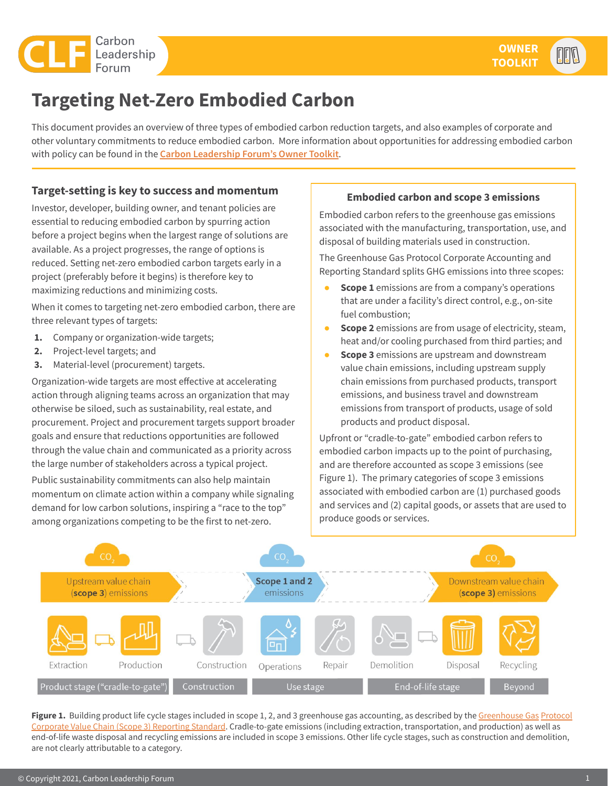

# **Targeting Net-Zero Embodied Carbon**

This document provides an overview of three types of embodied carbon reduction targets, and also examples of corporate and other voluntary commitments to reduce embodied carbon. More information about opportunities for addressing embodied carbon with policy can be found in the **[Carbon Leadership Forum's Owner Toolkit](https://carbonleadershipforum.org/clf-owner-toolkit)**.

### **Target-setting is key to success and momentum**

Investor, developer, building owner, and tenant policies are essential to reducing embodied carbon by spurring action before a project begins when the largest range of solutions are available. As a project progresses, the range of options is reduced. Setting net-zero embodied carbon targets early in a project (preferably before it begins) is therefore key to maximizing reductions and minimizing costs.

When it comes to targeting net-zero embodied carbon, there are three relevant types of targets:

- **1.** Company or organization-wide targets;
- **2.** Project-level targets; and
- **3.** Material-level (procurement) targets.

Organization-wide targets are most effective at accelerating action through aligning teams across an organization that may otherwise be siloed, such as sustainability, real estate, and procurement. Project and procurement targets support broader goals and ensure that reductions opportunities are followed through the value chain and communicated as a priority across the large number of stakeholders across a typical project.

Public sustainability commitments can also help maintain momentum on climate action within a company while signaling demand for low carbon solutions, inspiring a "race to the top" among organizations competing to be the first to net-zero.

#### **Embodied carbon and scope 3 emissions**

Embodied carbon refers to the greenhouse gas emissions associated with the manufacturing, transportation, use, and disposal of building materials used in construction.

The Greenhouse Gas Protocol Corporate Accounting and Reporting Standard splits GHG emissions into three scopes:

- **Scope 1** emissions are from a company's operations that are under a facility's direct control, e.g., on-site fuel combustion;
- **Scope 2** emissions are from usage of electricity, steam, heat and/or cooling purchased from third parties; and
- **Scope 3** emissions are upstream and downstream value chain emissions, including upstream supply chain emissions from purchased products, transport emissions, and business travel and downstream emissions from transport of products, usage of sold products and product disposal.

Upfront or "cradle-to-gate" embodied carbon refers to embodied carbon impacts up to the point of purchasing, and are therefore accounted as scope 3 emissions (see Figure 1). The primary categories of scope 3 emissions associated with embodied carbon are (1) purchased goods and services and (2) capital goods, or assets that are used to produce goods or services.



Figure 1. Building product life cycle stages included in scope 1, 2, and 3 greenhouse gas accounting, as described by the [Greenhouse Gas](https://ghgprotocol.org/sites/default/files/standards/Corporate-Value-Chain-Accounting-Reporing-Standard_041613_2.pdf) Protocol [Corporate Value Chain \(Scope 3\) Reporting Standard](https://ghgprotocol.org/sites/default/files/standards/Corporate-Value-Chain-Accounting-Reporing-Standard_041613_2.pdf). Cradle-to-gate emissions (including extraction, transportation, and production) as well as end-of-life waste disposal and recycling emissions are included in scope 3 emissions. Other life cycle stages, such as construction and demolition, are not clearly attributable to a category.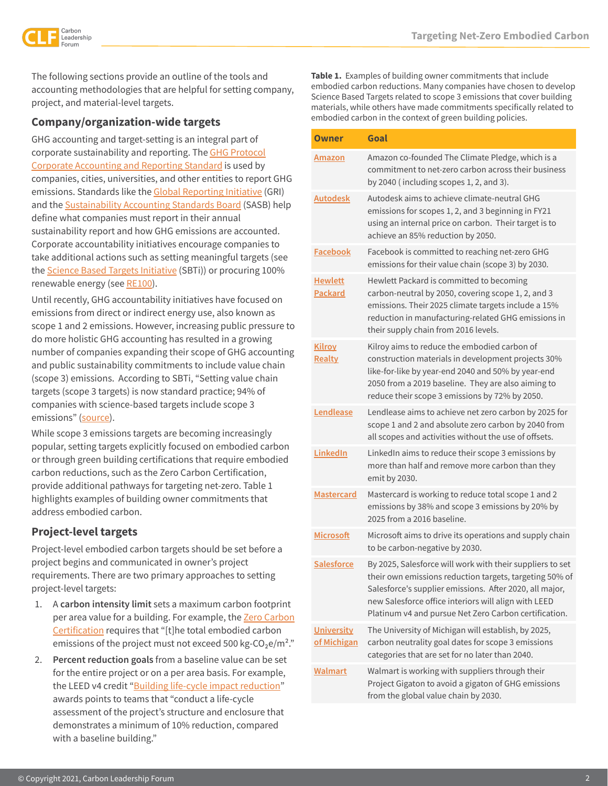

The following sections provide an outline of the tools and accounting methodologies that are helpful for setting company, project, and material-level targets.

### **Company/organization-wide targets**

GHG accounting and target-setting is an integral part of corporate sustainability and reporting. The [GHG Protocol](https://ghgprotocol.org/corporate-standard) [Corporate Accounting and Reporting Standard](https://ghgprotocol.org/corporate-standard) is used by companies, cities, universities, and other entities to report GHG emissions. Standards like the [Global Reporting Initiative](https://www.globalreporting.org/) (GRI) and the [Sustainability Accounting Standards Board](https://www.sasb.org/) (SASB) help define what companies must report in their annual sustainability report and how GHG emissions are accounted. Corporate accountability initiatives encourage companies to take additional actions such as setting meaningful targets (see the [Science Based Targets Initiative](https://sciencebasedtargets.org/) (SBTi)) or procuring 100% renewable energy (see [RE100](https://www.there100.org/)).

Until recently, GHG accountability initiatives have focused on emissions from direct or indirect energy use, also known as scope 1 and 2 emissions. However, increasing public pressure to do more holistic GHG accounting has resulted in a growing number of companies expanding their scope of GHG accounting and public sustainability commitments to include value chain (scope 3) emissions. According to SBTi, "Setting value chain targets (scope 3 targets) is now standard practice; 94% of companies with science-based targets include scope 3 emissions" [\(source](https://sciencebasedtargets.org/sbti-progress-report-2020)).

While scope 3 emissions targets are becoming increasingly popular, setting targets explicitly focused on embodied carbon or through green building certifications that require embodied carbon reductions, such as the Zero Carbon Certification, provide additional pathways for targeting net-zero. Table 1 highlights examples of building owner commitments that address embodied carbon.

## **Project-level targets**

Project-level embodied carbon targets should be set before a project begins and communicated in owner's project requirements. There are two primary approaches to setting project-level targets:

- 1. A **carbon intensity limit** sets a maximum carbon footprint per area value for a building. For example, the [Zero Carbon](https://living-future.org/zero-carbon-certification/) [Certification](https://living-future.org/zero-carbon-certification/) requires that "[t]he total embodied carbon emissions of the project must not exceed 500 kg-CO<sub>2</sub>e/m<sup>2</sup>."
- 2. **Percent reduction goals** from a baseline value can be set for the entire project or on a per area basis. For example, the LEED v4 credit "[Building life-cycle impact reduction](https://www.usgbc.org/credits/new-construction-schools-new-construction-retail-new-construction-data-centers-new-construct?return=/credits/new-construction/v4)" awards points to teams that "conduct a life-cycle assessment of the project's structure and enclosure that demonstrates a minimum of 10% reduction, compared with a baseline building."

**Table 1.** Examples of building owner commitments that include embodied carbon reductions. Many companies have chosen to develop Science Based Targets related to scope 3 emissions that cover building materials, while others have made commitments specifically related to embodied carbon in the context of green building policies.

| Owner                            | Goal                                                                                                                                                                                                                                                                                             |
|----------------------------------|--------------------------------------------------------------------------------------------------------------------------------------------------------------------------------------------------------------------------------------------------------------------------------------------------|
| Amazon                           | Amazon co-founded The Climate Pledge, which is a<br>commitment to net-zero carbon across their business<br>by 2040 (including scopes $1, 2$ , and $3$ ).                                                                                                                                         |
| Autodesk                         | Autodesk aims to achieve climate-neutral GHG<br>emissions for scopes 1, 2, and 3 beginning in FY21<br>using an internal price on carbon. Their target is to<br>achieve an 85% reduction by 2050.                                                                                                 |
| <b>Facebook</b>                  | Facebook is committed to reaching net-zero GHG<br>emissions for their value chain (scope 3) by 2030.                                                                                                                                                                                             |
| <b>Hewlett</b><br><b>Packard</b> | Hewlett Packard is committed to becoming<br>carbon-neutral by 2050, covering scope 1, 2, and 3<br>emissions. Their 2025 climate targets include a 15%<br>reduction in manufacturing-related GHG emissions in<br>their supply chain from 2016 levels.                                             |
| <b>Kilroy</b><br>Realty          | Kilroy aims to reduce the embodied carbon of<br>construction materials in development projects 30%<br>like-for-like by year-end 2040 and 50% by year-end<br>2050 from a 2019 baseline. They are also aiming to<br>reduce their scope 3 emissions by 72% by 2050.                                 |
| Lendlease                        | Lendlease aims to achieve net zero carbon by 2025 for<br>scope 1 and 2 and absolute zero carbon by 2040 from<br>all scopes and activities without the use of offsets.                                                                                                                            |
| LinkedIn                         | LinkedIn aims to reduce their scope 3 emissions by<br>more than half and remove more carbon than they<br>emit by 2030.                                                                                                                                                                           |
| <b>Mastercard</b>                | Mastercard is working to reduce total scope 1 and 2<br>emissions by 38% and scope 3 emissions by 20% by<br>2025 from a 2016 baseline.                                                                                                                                                            |
| <b>Microsoft</b>                 | Microsoft aims to drive its operations and supply chain<br>to be carbon-negative by 2030.                                                                                                                                                                                                        |
| <b>Salesforce</b>                | By 2025, Salesforce will work with their suppliers to set<br>their own emissions reduction targets, targeting 50% of<br>Salesforce's supplier emissions. After 2020, all major,<br>new Salesforce office interiors will align with LEED<br>Platinum v4 and pursue Net Zero Carbon certification. |
| University<br>of Michigan        | The University of Michigan will establish, by 2025,<br>carbon neutrality goal dates for scope 3 emissions<br>categories that are set for no later than 2040.                                                                                                                                     |
| <b>Walmart</b>                   | Walmart is working with suppliers through their<br>Project Gigaton to avoid a gigaton of GHG emissions<br>from the global value chain by 2030.                                                                                                                                                   |